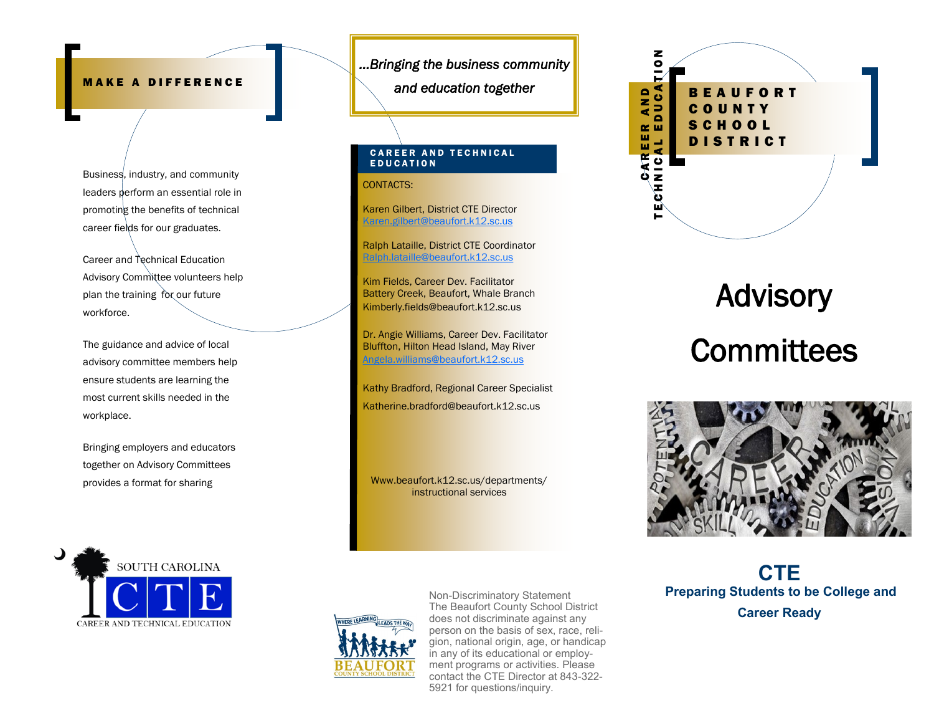# **MAKE A DIFFERENCE**

Business, industry, and community leaders perform an essential role in promoting the benefits of technical career fields for our graduates.

Career and Technical Education Advisory Committee volunteers help plan the training for our future workforce.

The guidance and advice of local advisory committee members help ensure students are learning the most current skills needed in the workplace.

Bringing employers and educators together on Advisory Committees provides a format for sharing



*...Bringing the business community* 

*and education together* 

## **CAREER AND TECHNICAL** E D U C A T I O N

CONTACTS:

Karen Gilbert, District CTE Director [Karen.gilbert@beaufort.k12.sc.us](mailto:Karen.gilbert@beaufort.k12.sc.us)

Ralph Lataille, District CTE Coordinator [Ralph.lataille@beaufort.k12.sc.us](mailto:Ralph.lataille@beaufort.k12.sc.us)

Kim Fields, Career Dev. Facilitator Battery Creek, Beaufort, Whale Branch Kimberly.fields@beaufort.k12.sc.us

Dr. Angie Williams, Career Dev. Facilitator Bluffton, Hilton Head Island, May River [Angela.williams@beaufort.k12.sc.us](mailto:Angela.williams@beaufort.k12.sc.us)

**Kathy Bradford, Regional Career Specialist** Katherine.bradford@beaufort.k12.sc.us

Www.beaufort.k12.sc.us/departments/ instructional services



**Advisory Committees** 



**CTE Preparing Students to be College and Career Ready**



Non-Discriminatory Statement The Beaufort County School District does not discriminate against any person on the basis of sex, race, religion, national origin, age, or handicap in any of its educational or employment programs or activities. Please contact the CTE Director at 843-322- 5921 for questions/inquiry.